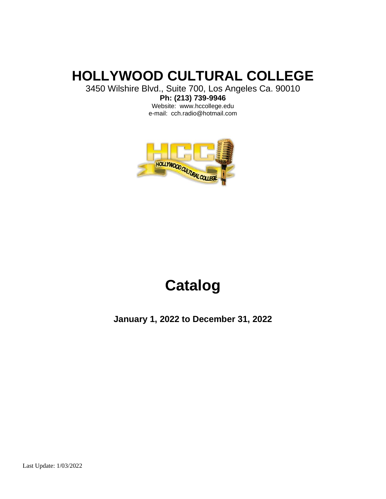# **HOLLYWOOD CULTURAL COLLEGE**

3450 Wilshire Blvd., Suite 700, Los Angeles Ca. 90010

**Ph: (213) 739-9946** Website: www.hccollege.edu e-mail: cch.radio@hotmail.com



# **Catalog**

**January 1, 2022 to December 31, 2022**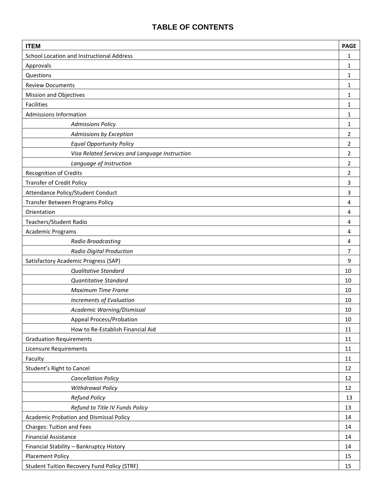## **TABLE OF CONTENTS**

| <b>ITEM</b>                                        | <b>PAGE</b>    |  |  |
|----------------------------------------------------|----------------|--|--|
| School Location and Instructional Address          | 1              |  |  |
| Approvals                                          | $\mathbf{1}$   |  |  |
| Questions                                          | 1              |  |  |
| <b>Review Documents</b>                            | 1              |  |  |
| <b>Mission and Objectives</b>                      |                |  |  |
| Facilities                                         | 1              |  |  |
| <b>Admissions Information</b>                      | 1              |  |  |
| <b>Admissions Policy</b>                           | 1              |  |  |
| Admissions by Exception                            | $\overline{2}$ |  |  |
| <b>Equal Opportunity Policy</b>                    | $\overline{2}$ |  |  |
| Visa Related Services and Language Instruction     | $\overline{2}$ |  |  |
| Language of Instruction                            | $\overline{2}$ |  |  |
| Recognition of Credits                             | $\overline{2}$ |  |  |
| <b>Transfer of Credit Policy</b>                   | 3              |  |  |
| Attendance Policy/Student Conduct                  | 3              |  |  |
| Transfer Between Programs Policy                   | 4              |  |  |
| Orientation                                        | 4              |  |  |
| Teachers/Student Radio                             | 4              |  |  |
| Academic Programs                                  | 4              |  |  |
| <b>Radio Broadcasting</b>                          | 4              |  |  |
| <b>Radio Digital Production</b>                    | $\overline{7}$ |  |  |
| Satisfactory Academic Progress (SAP)               | 9              |  |  |
| <b>Qualitative Standard</b>                        | 10             |  |  |
| Quantitative Standard                              | 10             |  |  |
| Maximum Time Frame                                 | 10             |  |  |
| <b>Increments of Evaluation</b>                    | 10             |  |  |
| Academic Warning/Dismissal                         | 10             |  |  |
| <b>Appeal Process/Probation</b>                    | 10             |  |  |
| How to Re-Establish Financial Aid                  | 11             |  |  |
| <b>Graduation Requirements</b>                     | 11             |  |  |
| <b>Licensure Requirements</b>                      | 11             |  |  |
| Faculty                                            | 11             |  |  |
| Student's Right to Cancel                          | 12             |  |  |
| <b>Cancellation Policy</b>                         | 12             |  |  |
| <b>Withdrawal Policy</b>                           | 12             |  |  |
| <b>Refund Policy</b>                               | 13             |  |  |
| Refund to Title IV Funds Policy                    | 13             |  |  |
| <b>Academic Probation and Dismissal Policy</b>     | 14             |  |  |
| <b>Charges: Tuition and Fees</b>                   | 14             |  |  |
| <b>Financial Assistance</b>                        | 14             |  |  |
| Financial Stability - Bankruptcy History           | 14             |  |  |
| <b>Placement Policy</b>                            | 15             |  |  |
| <b>Student Tuition Recovery Fund Policy (STRF)</b> | 15             |  |  |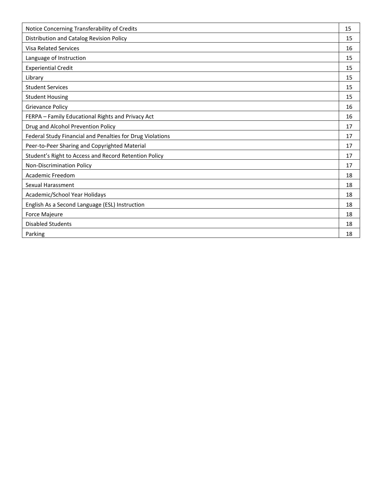| Notice Concerning Transferability of Credits              | 15 |
|-----------------------------------------------------------|----|
| Distribution and Catalog Revision Policy                  | 15 |
| <b>Visa Related Services</b>                              | 16 |
| Language of Instruction                                   | 15 |
| <b>Experiential Credit</b>                                | 15 |
| Library                                                   | 15 |
| <b>Student Services</b>                                   | 15 |
| <b>Student Housing</b>                                    | 15 |
| <b>Grievance Policy</b>                                   | 16 |
| FERPA - Family Educational Rights and Privacy Act         | 16 |
| Drug and Alcohol Prevention Policy                        | 17 |
| Federal Study Financial and Penalties for Drug Violations | 17 |
| Peer-to-Peer Sharing and Copyrighted Material             | 17 |
| Student's Right to Access and Record Retention Policy     | 17 |
| Non-Discrimination Policy                                 | 17 |
| <b>Academic Freedom</b>                                   | 18 |
| Sexual Harassment                                         | 18 |
| Academic/School Year Holidays                             | 18 |
| English As a Second Language (ESL) Instruction            | 18 |
| Force Majeure                                             | 18 |
| <b>Disabled Students</b>                                  | 18 |
| Parking                                                   | 18 |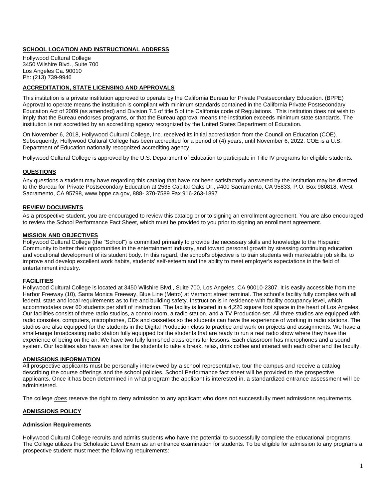## **SCHOOL LOCATION AND INSTRUCTIONAL ADDRESS**

Hollywood Cultural College 3450 Wilshire Blvd., Suite 700 Los Angeles Ca. 90010 Ph: (213) 739-9946

## **ACCREDITATION, STATE LICENSING AND APPROVALS**

This institution is a private institution approved to operate by the California Bureau for Private Postsecondary Education. (BPPE) Approval to operate means the institution is compliant with minimum standards contained in the California Private Postsecondary Education Act of 2009 (as amended) and Division 7.5 of title 5 of the California code of Regulations. This institution does not wish to imply that the Bureau endorses programs, or that the Bureau approval means the institution exceeds minimum state standards. The institution is not accredited by an accrediting agency recognized by the United States Department of Education.

On November 6, 2018, Hollywood Cultural College, Inc. received its initial accreditation from the Council on Education (COE). Subsequently, Hollywood Cultural College has been accredited for a period of (4) years, until November 6, 2022. COE is a U.S. Department of Education nationally recognized accrediting agency.

Hollywood Cultural College is approved by the U.S. Department of Education to participate in Title IV programs for eligible students.

## **QUESTIONS**

Any questions a student may have regarding this catalog that have not been satisfactorily answered by the institution may be directed to the Bureau for Private Postsecondary Education at 2535 Capital Oaks Dr., #400 Sacramento, CA 95833, P.O. Box 980818, West Sacramento, CA 95798, www.bppe.ca.gov, 888- 370-7589 Fax 916-263-1897

## **REVIEW DOCUMENTS**

As a prospective student, you are encouraged to review this catalog prior to signing an enrollment agreement. You are also encouraged to review the School Performance Fact Sheet, which must be provided to you prior to signing an enrollment agreement.

## **MISSION AND OBJECTIVES**

Hollywood Cultural College (the "School") is committed primarily to provide the necessary skills and knowledge to the Hispanic Community to better their opportunities in the entertainment industry, and toward personal growth by stressing continuing education and vocational development of its student body. In this regard, the school's objective is to train students with marketable job skills, to improve and develop excellent work habits, students' self-esteem and the ability to meet employer's expectations in the field of entertainment industry.

## **FACILITIES**

Hollywood Cultural College is located at 3450 Wilshire Blvd., Suite 700, Los Angeles, CA 90010-2307. It is easily accessible from the Harbor Freeway (10), Santa Monica Freeway, Blue Line (Metro) at Vermont street terminal. The school's facility fully complies with all federal, state and local requirements as to fire and building safety. Instruction is in residence with facility occupancy level, which accommodates over 60 students per shift of instruction. The facility is located in a 4,220 square foot space in the heart of Los Angeles. Our facilities consist of three radio studios, a control room, a radio station, and a TV Production set. All three studios are equipped with radio consoles, computers, microphones, CDs and cassettes so the students can have the experience of working in radio stations. The studios are also equipped for the students in the Digital Production class to practice and work on projects and assignments. We have a small-range broadcasting radio station fully equipped for the students that are ready to run a real radio show where they have the experience of being on the air. We have two fully furnished classrooms for lessons. Each classroom has microphones and a sound system. Our facilities also have an area for the students to take a break, relax, drink coffee and interact with each other and the faculty.

## **ADMISSIONS INFORMATION**

All prospective applicants must be personally interviewed by a school representative, tour the campus and receive a catalog describing the course offerings and the school policies. School Performance fact sheet will be provided to the prospective applicants. Once it has been determined in what program the applicant is interested in, a standardized entrance assessment wi ll be administered.

The college *does* reserve the right to deny admission to any applicant who does not successfully meet admissions requirements.

## **ADMISSIONS POLICY**

## **Admission Requirements**

Hollywood Cultural College recruits and admits students who have the potential to successfully complete the educational programs. The College utilizes the Scholastic Level Exam as an entrance examination for students. To be eligible for admission to any programs a prospective student must meet the following requirements: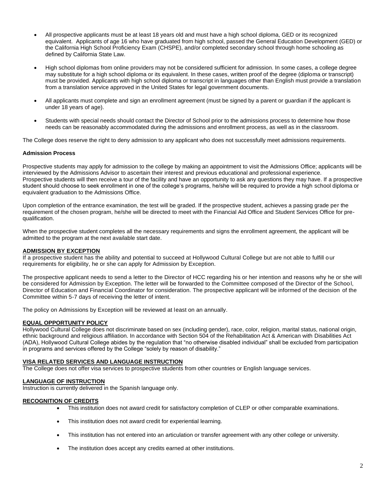- All prospective applicants must be at least 18 years old and must have a high school diploma, GED or its recognized equivalent. Applicants of age 16 who have graduated from high school, passed the General Education Development (GED) or the California High School Proficiency Exam (CHSPE), and/or completed secondary school through home schooling as defined by California State Law.
- High school diplomas from online providers may not be considered sufficient for admission. In some cases, a college degree may substitute for a high school diploma or its equivalent. In these cases, written proof of the degree (diploma or transcript) must be provided. Applicants with high school diploma or transcript in languages other than English must provide a translation from a translation service approved in the United States for legal government documents.
- All applicants must complete and sign an enrollment agreement (must be signed by a parent or guardian if the applicant is under 18 years of age).
- Students with special needs should contact the Director of School prior to the admissions process to determine how those needs can be reasonably accommodated during the admissions and enrollment process, as well as in the classroom.

The College does reserve the right to deny admission to any applicant who does not successfully meet admissions requirements.

## **Admission Process**

Prospective students may apply for admission to the college by making an appointment to visit the Admissions Office; applicants will be interviewed by the Admissions Advisor to ascertain their interest and previous educational and professional experience. Prospective students will then receive a tour of the facility and have an opportunity to ask any questions they may have. If a prospective student should choose to seek enrollment in one of the college's programs, he/she will be required to provide a high school diploma or equivalent graduation to the Admissions Office.

Upon completion of the entrance examination, the test will be graded. If the prospective student, achieves a passing grade per the requirement of the chosen program, he/she will be directed to meet with the Financial Aid Office and Student Services Office for prequalification.

When the prospective student completes all the necessary requirements and signs the enrollment agreement, the applicant will be admitted to the program at the next available start date.

## **ADMISSION BY EXCEPTION**

If a prospective student has the ability and potential to succeed at Hollywood Cultural College but are not able to fulfill our requirements for eligibility, he or she can apply for Admission by Exception.

The prospective applicant needs to send a letter to the Director of HCC regarding his or her intention and reasons why he or she will be considered for Admission by Exception. The letter will be forwarded to the Committee composed of the Director of the School, Director of Education and Financial Coordinator for consideration. The prospective applicant will be informed of the decision of the Committee within 5-7 days of receiving the letter of intent.

The policy on Admissions by Exception will be reviewed at least on an annually.

## **EQUAL OPPORTUNITY POLICY**

Hollywood Cultural College does not discriminate based on sex (including gender), race, color, religion, marital status, national origin, ethnic background and religious affiliation. In accordance with Section 504 of the Rehabilitation Act & American with Disabilities Act (ADA), Hollywood Cultural College abides by the regulation that "no otherwise disabled individual" shall be excluded from participation in programs and services offered by the College "solely by reason of disability."

## **VISA RELATED SERVICES AND LANGUAGE INSTRUCTION**

The College does not offer visa services to prospective students from other countries or English language services.

## **LANGUAGE OF INSTRUCTION**

Instruction is currently delivered in the Spanish language only.

## **RECOGNITION OF CREDITS**

- This institution does not award credit for satisfactory completion of CLEP or other comparable examinations.
- This institution does not award credit for experiential learning.
- This institution has not entered into an articulation or transfer agreement with any other college or university.
- The institution does accept any credits earned at other institutions.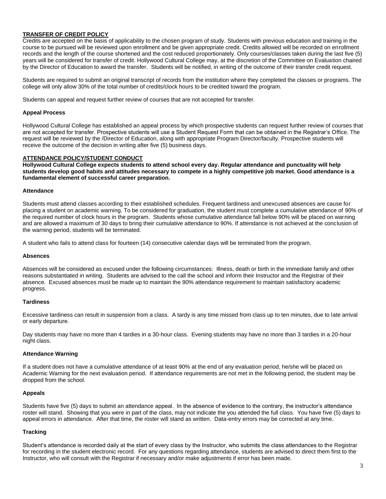## **TRANSFER OF CREDIT POLICY**

Credits are accepted on the basis of applicability to the chosen program of study. Students with previous education and training in the course to be pursued will be reviewed upon enrollment and be given appropriate credit. Credits allowed will be recorded on enrollment records and the length of the course shortened and the cost reduced proportionately. Only courses/classes taken during the last five (5) years will be considered for transfer of credit. Hollywood Cultural College may, at the discretion of the Committee on Evaluation chaired by the Director of Education to award the transfer. Students will be notified, in writing of the outcome of their transfer credit request.

Students are required to submit an original transcript of records from the institution where they completed the classes or programs. The college will only allow 30% of the total number of credits/clock hours to be credited toward the program.

Students can appeal and request further review of courses that are not accepted for transfer.

#### **Appeal Process**

Hollywood Cultural College has established an appeal process by which prospective students can request further review of courses that are not accepted for transfer. Prospective students will use a Student Request Form that can be obtained in the Registrar's Office. The request will be reviewed by the /Director of Education, along with appropriate Program Director/faculty. Prospective students will receive the outcome of the decision in writing after five (5) business days.

## **ATTENDANCE POLICY/STUDENT CONDUCT**

**Hollywood Cultural College expects students to attend school every day. Regular attendance and punctuality will help students develop good habits and attitudes necessary to compete in a highly competitive job market. Good attendance is a fundamental element of successful career preparation.**

#### **Attendance**

Students must attend classes according to their established schedules. Frequent tardiness and unexcused absences are cause for placing a student on academic warning. To be considered for graduation, the student must complete a cumulative attendance of 90% of the required number of clock hours in the program. Students whose cumulative attendance fall below 90% will be placed on warning and are allowed a maximum of 30 days to bring their cumulative attendance to 90%. If attendance is not achieved at the conclusion of the warning period, students will be terminated.

A student who fails to attend class for fourteen (14) consecutive calendar days will be terminated from the program.

#### **Absences**

Absences will be considered as excused under the following circumstances: Illness, death or birth in the immediate family and other reasons substantiated in writing. Students are advised to the call the school and inform their Instructor and the Registrar of their absence. Excused absences must be made up to maintain the 90% attendance requirement to maintain satisfactory academic progress.

#### **Tardiness**

Excessive tardiness can result in suspension from a class. A tardy is any time missed from class up to ten minutes, due to late arrival or early departure.

Day students may have no more than 4 tardies in a 30-hour class. Evening students may have no more than 3 tardies in a 20-hour night class.

#### **Attendance Warning**

If a student does not have a cumulative attendance of at least 90% at the end of any evaluation period, he/she will be placed on Academic Warning for the next evaluation period. If attendance requirements are not met in the following period, the student may be dropped from the school.

## **Appeals**

Students have five (5) days to submit an attendance appeal. In the absence of evidence to the contrary, the instructor's attendance roster will stand. Showing that you were in part of the class, may not indicate the you attended the full class. You have five (5) days to appeal errors in attendance. After that time, the roster will stand as written. Data-entry errors may be corrected at any time.

#### **Tracking**

Student's attendance is recorded daily at the start of every class by the Instructor, who submits the class attendances to the Registrar for recording in the student electronic record. For any questions regarding attendance, students are advised to direct them first to the Instructor, who will consult with the Registrar if necessary and/or make adjustments if error has been made.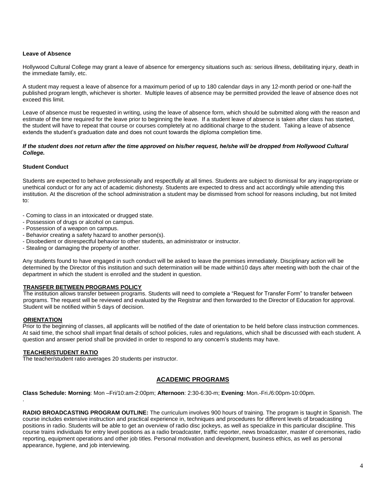## **Leave of Absence**

Hollywood Cultural College may grant a leave of absence for emergency situations such as: serious illness, debilitating injury, death in the immediate family, etc.

A student may request a leave of absence for a maximum period of up to 180 calendar days in any 12-month period or one-half the published program length, whichever is shorter. Multiple leaves of absence may be permitted provided the leave of absence does not exceed this limit.

Leave of absence must be requested in writing, using the leave of absence form, which should be submitted along with the reason and estimate of the time required for the leave prior to beginning the leave. If a student leave of absence is taken after class has started, the student will have to repeat that course or courses completely at no additional charge to the student. Taking a leave of absence extends the student's graduation date and does not count towards the diploma completion time.

#### If the student does not return after the time approved on his/her request, he/she will be dropped from Hollywood Cultural *College.*

## **Student Conduct**

Students are expected to behave professionally and respectfully at all times. Students are subject to dismissal for any inappropriate or unethical conduct or for any act of academic dishonesty. Students are expected to dress and act accordingly while attending this institution. At the discretion of the school administration a student may be dismissed from school for reasons including, but not limited to:

- Coming to class in an intoxicated or drugged state.
- Possession of drugs or alcohol on campus.
- Possession of a weapon on campus.
- Behavior creating a safety hazard to another person(s).
- Disobedient or disrespectful behavior to other students, an administrator or instructor.
- Stealing or damaging the property of another.

Any students found to have engaged in such conduct will be asked to leave the premises immediately. Disciplinary action will be determined by the Director of this institution and such determination will be made within10 days after meeting with both the chair of the department in which the student is enrolled and the student in question.

## **TRANSFER BETWEEN PROGRAMS POLICY**

The institution allows transfer between programs. Students will need to complete a "Request for Transfer Form" to transfer between programs. The request will be reviewed and evaluated by the Registrar and then forwarded to the Director of Education for approval. Student will be notified within 5 days of decision.

#### **ORIENTATION**

.

Prior to the beginning of classes, all applicants will be notified of the date of orientation to be held before class instruction commences. At said time, the school shall impart final details of school policies, rules and regulations, which shall be discussed with each student. A question and answer period shall be provided in order to respond to any concern's students may have.

## **TEACHER/STUDENT RATIO**

The teacher/student ratio averages 20 students per instructor.

## **ACADEMIC PROGRAMS**

**Class Schedule: Morning**: Mon –Fri/10:am-2:00pm; **Afternoon**: 2:30-6:30-m; **Evening**: Mon.-Fri./6:00pm-10:00pm.

**RADIO BROADCASTING PROGRAM OUTLINE:** The curriculum involves 900 hours of training. The program is taught in Spanish. The course includes extensive instruction and practical experience in, techniques and procedures for different levels of broadcasting positions in radio. Students will be able to get an overview of radio disc jockeys, as well as specialize in this particular discipline. This course trains individuals for entry level positions as a radio broadcaster, traffic reporter, news broadcaster, master of ceremonies, radio reporting, equipment operations and other job titles. Personal motivation and development, business ethics, as well as personal appearance, hygiene, and job interviewing.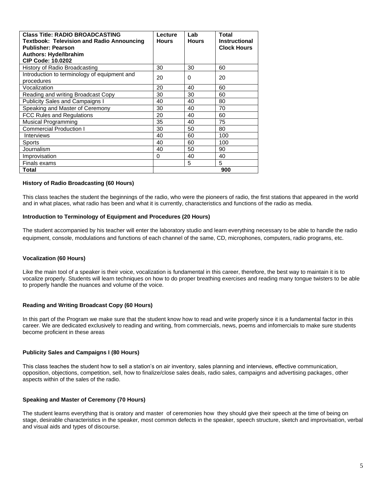| <b>Class Title: RADIO BROADCASTING</b>           | Lecture      | Lab          | <b>Total</b>         |
|--------------------------------------------------|--------------|--------------|----------------------|
| <b>Textbook: Television and Radio Announcing</b> | <b>Hours</b> | <b>Hours</b> | <b>Instructional</b> |
| <b>Publisher: Pearson</b>                        |              |              | <b>Clock Hours</b>   |
| <b>Authors: Hyde/Ibrahim</b>                     |              |              |                      |
| <b>CIP Code: 10.0202</b>                         |              |              |                      |
| History of Radio Broadcasting                    | 30           | 30           | 60                   |
| Introduction to terminology of equipment and     | 20           | 0            | 20                   |
| procedures                                       |              |              |                      |
| Vocalization                                     | 20           | 40           | 60                   |
| Reading and writing Broadcast Copy               | 30           | 30           | 60                   |
| <b>Publicity Sales and Campaigns I</b>           | 40           | 40           | 80                   |
| Speaking and Master of Ceremony                  | 30           | 40           | 70                   |
| FCC Rules and Regulations                        | 20           | 40           | 60                   |
| <b>Musical Programming</b>                       | 35           | 40           | 75                   |
| <b>Commercial Production I</b>                   | 30           | 50           | 80                   |
| <b>Interviews</b>                                | 40           | 60           | 100                  |
| Sports                                           | 40           | 60           | 100                  |
| Journalism                                       | 40           | 50           | 90                   |
| Improvisation                                    | 0            | 40           | 40                   |
| Finals exams                                     |              | 5            | 5                    |
| Total                                            |              |              | 900                  |

## **History of Radio Broadcasting (60 Hours)**

This class teaches the student the beginnings of the radio, who were the pioneers of radio, the first stations that appeared in the world and in what places, what radio has been and what it is currently, characteristics and functions of the radio as media.

#### **Introduction to Terminology of Equipment and Procedures (20 Hours)**

The student accompanied by his teacher will enter the laboratory studio and learn everything necessary to be able to handle the radio equipment, console, modulations and functions of each channel of the same, CD, microphones, computers, radio programs, etc.

#### **Vocalization (60 Hours)**

Like the main tool of a speaker is their voice, vocalization is fundamental in this career, therefore, the best way to maintain it is to vocalize properly. Students will learn techniques on how to do proper breathing exercises and reading many tongue twisters to be able to properly handle the nuances and volume of the voice.

## **Reading and Writing Broadcast Copy (60 Hours)**

In this part of the Program we make sure that the student know how to read and write properly since it is a fundamental factor in this career. We are dedicated exclusively to reading and writing, from commercials, news, poems and infomercials to make sure students become proficient in these areas

#### **Publicity Sales and Campaigns I (80 Hours)**

This class teaches the student how to sell a station's on air inventory, sales planning and interviews, effective communication, opposition, objections, competition, sell, how to finalize/close sales deals, radio sales, campaigns and advertising packages, other aspects within of the sales of the radio.

#### **Speaking and Master of Ceremony (70 Hours)**

The student learns everything that is oratory and master of ceremonies how they should give their speech at the time of being on stage, desirable characteristics in the speaker, most common defects in the speaker, speech structure, sketch and improvisation, verbal and visual aids and types of discourse.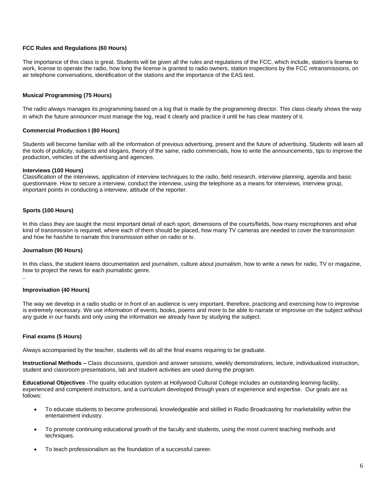## **FCC Rules and Regulations (60 Hours)**

The importance of this class is great. Students will be given all the rules and regulations of the FCC, which include, station's license to work, license to operate the radio, how long the license is granted to radio owners, station inspections by the FCC retransmissions, on air telephone conversations, identification of the stations and the importance of the EAS test.

## **Musical Programming (75 Hours)**

The radio always manages its programming based on a log that is made by the programming director. This class clearly shows the way in which the future announcer must manage the log, read it clearly and practice it until he has clear mastery of it.

#### **Commercial Production I (80 Hours)**

Students will become familiar with all the information of previous advertising, present and the future of advertising. Students will learn all the tools of publicity, subjects and slogans, theory of the same, radio commercials, how to write the announcements, tips to improve the production, vehicles of the advertising and agencies.

#### **Interviews (100 Hours)**

Classification of the interviews, application of interview techniques to the radio, field research, interview planning, agenda and basic questionnaire. How to secure a interview, conduct the interview, using the telephone as a means for interviews, interview group, important points in conducting a interview, attitude of the reporter.

## **Sports (100 Hours)**

In this class they are taught the most important detail of each sport, dimensions of the courts/fields, how many microphones and what kind of transmission is required, where each of them should be placed, how many TV cameras are needed to cover the transmission and how he has/she to narrate this transmission either on radio or tv.

#### **Journalism (90 Hours)**

In this class, the student learns documentation and journalism, culture about journalism, how to write a news for radio, TV or magazine, how to project the news for each journalistic genre.

..

## **Improvisation (40 Hours)**

The way we develop in a radio studio or in front of an audience is very important, therefore, practicing and exercising how to improvise is extremely necessary. We use information of events, books, poems and more to be able to narrate or improvise on the subject without any guide in our hands and only using the information we already have by studying the subject.

## **Final exams (5 Hours)**

Always accompanied by the teacher, students will do all the final exams requiring to be graduate.

**Instructional Methods –** Class discussions, question and answer sessions, weekly demonstrations, lecture, individualized instruction, student and classroom presentations, lab and student activities are used during the program.

**Educational Objectives** -The quality education system at Hollywood Cultural College includes an outstanding learning facility, experienced and competent instructors, and a curriculum developed through years of experience and expertise. Our goals are as follows:

- To educate students to become professional, knowledgeable and skilled in Radio Broadcasting for marketability within the entertainment industry.
- To promote continuing educational growth of the faculty and students, using the most current teaching methods and techniques.
- To teach professionalism as the foundation of a successful career.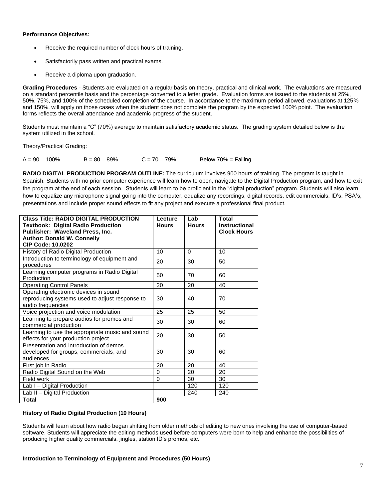## **Performance Objectives:**

- Receive the required number of clock hours of training.
- Satisfactorily pass written and practical exams.
- Receive a diploma upon graduation.

**Grading Procedures** - Students are evaluated on a regular basis on theory, practical and clinical work. The evaluations are measured on a standard percentile basis and the percentage converted to a letter grade. Evaluation forms are issued to the students at 25%, 50%, 75%, and 100% of the scheduled completion of the course. In accordance to the maximum period allowed, evaluations at 125% and 150%, will apply on those cases when the student does not complete the program by the expected 100% point. The evaluation forms reflects the overall attendance and academic progress of the student.

Students must maintain a "C" (70%) average to maintain satisfactory academic status. The grading system detailed below is the system utilized in the school.

Theory/Practical Grading:

 $A = 90 - 100\%$   $B = 80 - 89\%$   $C = 70 - 79\%$  Below 70% = Failing

**RADIO DIGITAL PRODUCTION PROGRAM OUTLINE:** The curriculum involves 900 hours of training. The program is taught in Spanish. Students with no prior computer experience will learn how to open, navigate to the Digital Production program, and how to exit the program at the end of each session. Students will learn to be proficient in the "digital production" program. Students will also learn how to equalize any microphone signal going into the computer, equalize any recordings, digital records, edit commercials, ID's, PSA's, presentations and include proper sound effects to fit any project and execute a professional final product.

| <b>Class Title: RADIO DIGITAL PRODUCTION</b>                                           | Lecture      | Lab          | Total                |
|----------------------------------------------------------------------------------------|--------------|--------------|----------------------|
| <b>Textbook: Digital Radio Production</b>                                              | <b>Hours</b> | <b>Hours</b> | <b>Instructional</b> |
| Publisher: Waveland Press, Inc.                                                        |              |              | <b>Clock Hours</b>   |
| <b>Author: Donald W. Connelly</b>                                                      |              |              |                      |
| <b>CIP Code: 10.0202</b>                                                               |              |              |                      |
| History of Radio Digital Production                                                    | 10           | 0            | 10                   |
| Introduction to terminology of equipment and<br>procedures                             | 20           | 30           | 50                   |
| Learning computer programs in Radio Digital<br>Production                              | 50           | 70           | 60                   |
| <b>Operating Control Panels</b>                                                        | 20           | 20           | 40                   |
| Operating electronic devices in sound                                                  |              |              |                      |
| reproducing systems used to adjust response to                                         | 30           | 40           | 70                   |
| audio frequencies                                                                      |              |              |                      |
| Voice projection and voice modulation                                                  | 25           | 25           | 50                   |
| Learning to prepare audios for promos and                                              | 30           | 30           | 60                   |
| commercial production                                                                  |              |              |                      |
| Learning to use the appropriate music and sound<br>effects for your production project | 20           | 30           | 50                   |
| Presentation and introduction of demos                                                 |              |              |                      |
| developed for groups, commercials, and                                                 | 30           | 30           | 60                   |
| audiences                                                                              |              |              |                      |
| First job in Radio                                                                     | 20           | 20           | 40                   |
| Radio Digital Sound on the Web                                                         | 0            | 20           | 20                   |
| Field work                                                                             | $\mathbf 0$  | 30           | 30                   |
| Lab I - Digital Production                                                             |              | 120          | 120                  |
| Lab II - Digital Production                                                            |              | 240          | 240                  |
| Total                                                                                  | 900          |              |                      |

## **History of Radio Digital Production (10 Hours)**

Students will learn about how radio began shifting from older methods of editing to new ones involving the use of computer-based software. Students will appreciate the editing methods used before computers were born to help and enhance the possibilities of producing higher quality commercials, jingles, station ID's promos, etc.

**Introduction to Terminology of Equipment and Procedures (50 Hours)**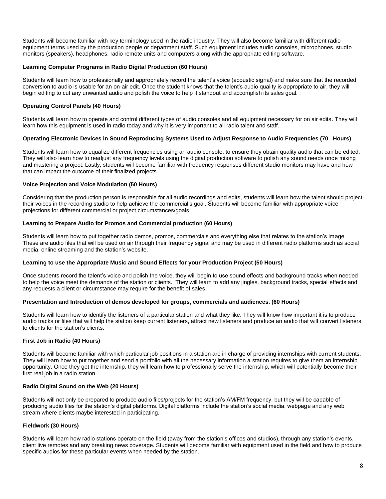Students will become familiar with key terminology used in the radio industry. They will also become familiar with different radio equipment terms used by the production people or department staff. Such equipment includes audio consoles, microphones, studio monitors (speakers), headphones, radio remote units and computers along with the appropriate editing software.

## **Learning Computer Programs in Radio Digital Production (60 Hours)**

Students will learn how to professionally and appropriately record the talent's voice (acoustic signal) and make sure that the recorded conversion to audio is usable for an on-air edit. Once the student knows that the talent's audio quality is appropriate to air, they will begin editing to cut any unwanted audio and polish the voice to help it standout and accomplish its sales goal.

## **Operating Control Panels (40 Hours)**

Students will learn how to operate and control different types of audio consoles and all equipment necessary for on air edits. They will learn how this equipment is used in radio today and why it is very important to all radio talent and staff.

## **Operating Electronic Devices in Sound Reproducing Systems Used to Adjust Response to Audio Frequencies (70 Hours)**

Students will learn how to equalize different frequencies using an audio console, to ensure they obtain quality audio that can be edited. They will also learn how to readjust any frequency levels using the digital production software to polish any sound needs once mixing and mastering a project. Lastly, students will become familiar with frequency responses different studio monitors may have and how that can impact the outcome of their finalized projects.

#### **Voice Projection and Voice Modulation (50 Hours)**

Considering that the production person is responsible for all audio recordings and edits, students will learn how the talent should project their voices in the recording studio to help achieve the commercial's goal. Students will become familiar with appropriate voice projections for different commercial or project circumstances/goals.

#### **Learning to Prepare Audio for Promos and Commercial production (60 Hours)**

Students will learn how to put together radio demos, promos, commercials and everything else that relates to the station's image. These are audio files that will be used on air through their frequency signal and may be used in different radio platforms such as social media, online streaming and the station's website.

#### **Learning to use the Appropriate Music and Sound Effects for your Production Project (50 Hours)**

Once students record the talent's voice and polish the voice, they will begin to use sound effects and background tracks when needed to help the voice meet the demands of the station or clients. They will learn to add any jingles, background tracks, special effects and any requests a client or circumstance may require for the benefit of sales.

#### **Presentation and Introduction of demos developed for groups, commercials and audiences. (60 Hours)**

Students will learn how to identify the listeners of a particular station and what they like. They will know how important it is to produce audio tracks or files that will help the station keep current listeners, attract new listeners and produce an audio that will convert listeners to clients for the station's clients.

## **First Job in Radio (40 Hours)**

Students will become familiar with which particular job positions in a station are in charge of providing internships with current students. They will learn how to put together and send a portfolio with all the necessary information a station requires to give them an internship opportunity. Once they get the internship, they will learn how to professionally serve the internship, which will potentially become their first real job in a radio station.

## **Radio Digital Sound on the Web (20 Hours)**

Students will not only be prepared to produce audio files/projects for the station's AM/FM frequency, but they will be capable of producing audio files for the station's digital platforms. Digital platforms include the station's social media, webpage and any web stream where clients maybe interested in participating.

## **Fieldwork (30 Hours)**

Students will learn how radio stations operate on the field (away from the station's offices and studios), through any station's events, client live remotes and any breaking news coverage. Students will become familiar with equipment used in the field and how to produce specific audios for these particular events when needed by the station.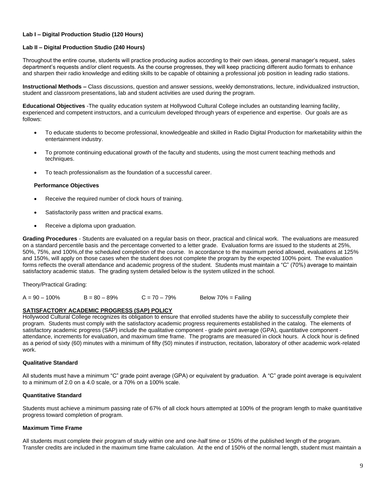## **Lab I – Digital Production Studio (120 Hours)**

## **Lab II – Digital Production Studio (240 Hours)**

Throughout the entire course, students will practice producing audios according to their own ideas, general manager's request, sales department's requests and/or client requests. As the course progresses, they will keep practicing different audio formats to enhance and sharpen their radio knowledge and editing skills to be capable of obtaining a professional job position in leading radio stations.

**Instructional Methods –** Class discussions, question and answer sessions, weekly demonstrations, lecture, individualized instruction, student and classroom presentations, lab and student activities are used during the program.

**Educational Objectives** -The quality education system at Hollywood Cultural College includes an outstanding learning facility, experienced and competent instructors, and a curriculum developed through years of experience and expertise. Our goals are as follows:

- To educate students to become professional, knowledgeable and skilled in Radio Digital Production for marketability within the entertainment industry.
- To promote continuing educational growth of the faculty and students, using the most current teaching methods and techniques.
- To teach professionalism as the foundation of a successful career.

## **Performance Objectives**

- Receive the required number of clock hours of training.
- Satisfactorily pass written and practical exams.
- Receive a diploma upon graduation.

**Grading Procedures** - Students are evaluated on a regular basis on theor, practical and clinical work. The evaluations are measured on a standard percentile basis and the percentage converted to a letter grade. Evaluation forms are issued to the students at 25%, 50%, 75%, and 100%,of the scheduled completion of the course. In accordance to the maximum period allowed, evaluations at 125% and 150%, will apply on those cases when the student does not complete the program by the expected 100% point. The evaluation forms reflects the overall attendance and academic progress of the student. Students must maintain a "C" (70%) average to maintain satisfactory academic status. The grading system detailed below is the system utilized in the school.

Theory/Practical Grading:

 $A = 90 - 100\%$   $B = 80 - 89\%$   $C = 70 - 79\%$  Below 70% = Failing

## **SATISFACTORY ACADEMIC PROGRESS (SAP) POLICY**

Hollywood Cultural College recognizes its obligation to ensure that enrolled students have the ability to successfully complete their program. Students must comply with the satisfactory academic progress requirements established in the catalog. The elements of satisfactory academic progress (SAP) include the qualitative component - grade point average (GPA), quantitative component attendance, increments for evaluation, and maximum time frame. The programs are measured in clock hours. A clock hour is defined as a period of sixty (60) minutes with a minimum of fifty (50) minutes if instruction, recitation, laboratory of other academic work-related work.

## **Qualitative Standard**

All students must have a minimum "C" grade point average (GPA) or equivalent by graduation. A "C" grade point average is equivalent to a minimum of 2.0 on a 4.0 scale, or a 70% on a 100% scale.

## **Quantitative Standard**

Students must achieve a minimum passing rate of 67% of all clock hours attempted at 100% of the program length to make quantitative progress toward completion of program.

## **Maximum Time Frame**

All students must complete their program of study within one and one-half time or 150% of the published length of the program. Transfer credits are included in the maximum time frame calculation. At the end of 150% of the normal length, student must maintain a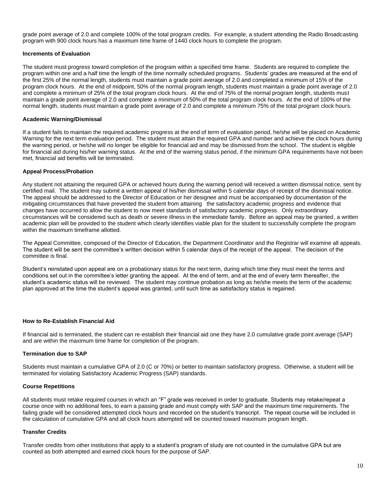grade point average of 2.0 and complete 100% of the total program credits. For example, a student attending the Radio Broadcasting program with 900 clock hours has a maximum time frame of 1440 clock hours to complete the program.

## **Increments of Evaluation**

The student must progress toward completion of the program within a specified time frame. Students are required to complete the program within one and a half time the length of the time normally scheduled programs. Students' grades are measured at the end of the first 25% of the normal length, students must maintain a grade point average of 2.0 and completed a minimum of 15% of the program clock hours. At the end of midpoint, 50% of the normal program length, students must maintain a grade point average of 2.0 and complete a minimum of 25% of the total program clock hours. At the end of 75% of the normal program length, students must maintain a grade point average of 2.0 and complete a minimum of 50% of the total program clock hours. At the end of 100% of the normal length, students must maintain a grade point average of 2.0 and complete a minimum 75% of the total program clock hours.

## **Academic Warning/Dismissal**

If a student fails to maintain the required academic progress at the end of term of evaluation period, he/she will be placed on Academic Warning for the next term evaluation period. The student must attain the required GPA and number and achieve the clock hours during the warning period, or he/she will no longer be eligible for financial aid and may be dismissed from the school. The student is eligible for financial aid during his/her warning status. At the end of the warning status period, if the minimum GPA requirements have not been met, financial aid benefits will be terminated.

#### **Appeal Process/Probation**

Any student not attaining the required GPA or achieved hours during the warning period will received a written dismissal notice, sent by certified mail. The student may submit a written appeal of his/her dismissal within 5 calendar days of receipt of the dismissal notice. The appeal should be addressed to the Director of Education or her designee and must be accompanied by documentation of the mitigating circumstances that have prevented the student from attaining the satisfactory academic progress and evidence that changes have occurred to allow the student to now meet standards of satisfactory academic progress. Only extraordinary circumstances will be considered such as death or severe illness in the immediate family. Before an appeal may be granted, a written academic plan will be provided to the student which clearly identifies viable plan for the student to successfully complete the program within the maximum timeframe allotted.

The Appeal Committee, composed of the Director of Education, the Department Coordinator and the Registrar will examine all appeals. The student will be sent the committee's written decision within 5 calendar days of the receipt of the appeal. The decision of the committee is final.

Student's reinstated upon appeal are on a probationary status for the next term, during which time they must meet the terms and conditions set out in the committee's letter granting the appeal. At the end of term, and at the end of every term thereafter, the student's academic status will be reviewed. The student may continue probation as long as he/she meets the term of the academic plan approved at the time the student's appeal was granted, until such time as satisfactory status is regained.

## **How to Re-Establish Financial Aid**

If financial aid is terminated, the student can re-establish their financial aid one they have 2.0 cumulative grade point average (SAP) and are within the maximum time frame for completion of the program.

#### **Termination due to SAP**

Students must maintain a cumulative GPA of 2.0 (C or 70%) or better to maintain satisfactory progress. Otherwise, a student will be terminated for violating Satisfactory Academic Progress (SAP) standards.

## **Course Repetitions**

All students must retake required courses in which an "F" grade was received in order to graduate. Students may retake/repeat a course once with no additional fees, to earn a passing grade and must comply with SAP and the maximum time requirements. The failing grade will be considered attempted clock hours and recorded on the student's transcript. The repeat course will be included in the calculation of cumulative GPA and all clock hours attempted will be counted toward maximum program length.

#### **Transfer Credits**

Transfer credits from other institutions that apply to a student's program of study are not counted in the cumulative GPA but are counted as both attempted and earned clock hours for the purpose of SAP.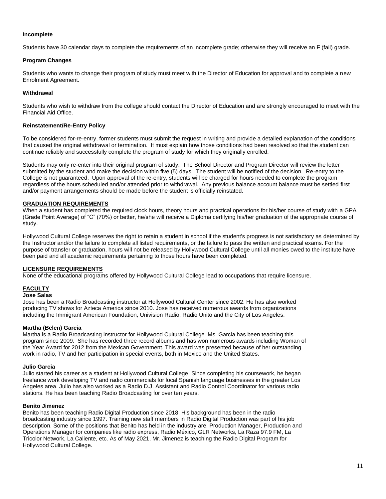## **Incomplete**

Students have 30 calendar days to complete the requirements of an incomplete grade; otherwise they will receive an F (fail) grade.

## **Program Changes**

Students who wants to change their program of study must meet with the Director of Education for approval and to complete a new Enrolment Agreement.

## **Withdrawal**

Students who wish to withdraw from the college should contact the Director of Education and are strongly encouraged to meet with the Financial Aid Office.

## **Reinstatement/Re-Entry Policy**

To be considered for-re-entry, former students must submit the request in writing and provide a detailed explanation of the conditions that caused the original withdrawal or termination. It must explain how those conditions had been resolved so that the student can continue reliably and successfully complete the program of study for which they originally enrolled.

Students may only re-enter into their original program of study. The School Director and Program Director will review the letter submitted by the student and make the decision within five (5) days. The student will be notified of the decision. Re-entry to the College is not guaranteed. Upon approval of the re-entry, students will be charged for hours needed to complete the program regardless of the hours scheduled and/or attended prior to withdrawal. Any previous balance account balance must be settled first and/or payment arrangements should be made before the student is officially reinstated.

## **GRADUATION REQUIREMENTS**

When a student has completed the required clock hours, theory hours and practical operations for his/her course of study with a GPA (Grade Point Average) of "C" (70%) or better, he/she will receive a Diploma certifying his/her graduation of the appropriate course of study.

Hollywood Cultural College reserves the right to retain a student in school if the student's progress is not satisfactory as determined by the Instructor and/or the failure to complete all listed requirements, or the failure to pass the written and practical exams. For the purpose of transfer or graduation, hours will not be released by Hollywood Cultural College until all monies owed to the institute have been paid and all academic requirements pertaining to those hours have been completed.

## **LICENSURE REQUIREMENTS**

None of the educational programs offered by Hollywood Cultural College lead to occupations that require licensure.

## **FACULTY**

## **Jose Salas**

Jose has been a Radio Broadcasting instructor at Hollywood Cultural Center since 2002. He has also worked producing TV shows for Azteca America since 2010. Jose has received numerous awards from organizations including the Immigrant American Foundation, Univision Radio, Radio Unito and the City of Los Angeles.

## **Martha (Belen) Garcia**

Martha is a Radio Broadcasting instructor for Hollywood Cultural College. Ms. Garcia has been teaching this program since 2009. She has recorded three record albums and has won numerous awards including Woman of the Year Award for 2012 from the Mexican Government. This award was presented because of her outstanding work in radio, TV and her participation in special events, both in Mexico and the United States.

## **Julio Garcia**

Julio started his career as a student at Hollywood Cultural College. Since completing his coursework, he began freelance work developing TV and radio commercials for local Spanish language businesses in the greater Los Angeles area. Julio has also worked as a Radio D.J. Assistant and Radio Control Coordinator for various radio stations. He has been teaching Radio Broadcasting for over ten years.

## **Benito Jimenez**

Benito has been teaching Radio Digital Production since 2018. His background has been in the radio broadcasting industry since 1997. Training new staff members in Radio Digital Production was part of his job description. Some of the positions that Benito has held in the industry are, Production Manager, Production and Operations Manager for companies like radio express, Radio México, GLR Networks, La Raza 97.9 FM, La Tricolor Network, La Caliente, etc. As of May 2021, Mr. Jimenez is teaching the Radio Digital Program for Hollywood Cultural College.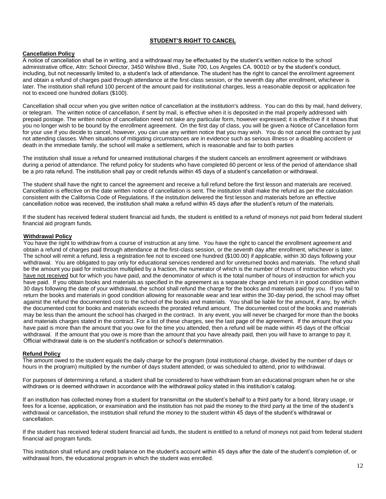## **STUDENT'S RIGHT TO CANCEL**

## **Cancellation Policy**

A notice of cancellation shall be in writing, and a withdrawal may be effectuated by the student's written notice to the school administrative office, Attn: School Director, 3450 Wilshire Blvd., Suite 700, Los Angeles CA. 90010 or by the student's conduct, including, but not necessarily limited to, a student's lack of attendance. The student has the right to cancel the enrollment agreement and obtain a refund of charges paid through attendance at the first-class session, or the seventh day after enrollment, whichever is later. The institution shall refund 100 percent of the amount paid for institutional charges, less a reasonable deposit or application fee not to exceed one hundred dollars (\$100).

Cancellation shall occur when you give written notice of cancellation at the institution's address. You can do this by mail, hand delivery, or telegram. The written notice of cancellation, if sent by mail, is effective when it is deposited in the mail properly addressed with prepaid postage. The written notice of cancellation need not take any particular form, however expressed; it is effective if it shows that you no longer wish to be bound by the enrollment agreement. On the first day of class, you will be given a Notice of Cancellation form for your use if you decide to cancel, however, you can use any written notice that you may wish. You do not cancel the contract by just not attending classes. When situations of mitigating circumstances are in evidence such as serious illness or a disabling accident or death in the immediate family, the school will make a settlement, which is reasonable and fair to both parties

The institution shall issue a refund for unearned institutional charges if the student cancels an enrollment agreement or withdraws during a period of attendance. The refund policy for students who have completed 60 percent or less of the period of attendance shall be a pro rata refund. The institution shall pay or credit refunds within 45 days of a student's cancellation or withdrawal.

The student shall have the right to cancel the agreement and receive a full refund before the first lesson and materials are received. Cancellation is effective on the date written notice of cancellation is sent. The institution shall make the refund as per the calculation consistent with the California Code of Regulations. If the institution delivered the first lesson and materials before an effective cancellation notice was received, the institution shall make a refund within 45 days after the student's return of the materials.

If the student has received federal student financial aid funds, the student is entitled to a refund of moneys not paid from federal student financial aid program funds.

## **Withdrawal Policy**

You have the right to withdraw from a course of instruction at any time. You have the right to cancel the enrollment agreement and obtain a refund of charges paid through attendance at the first-class session, or the seventh day after enrollment, whichever is later. The school will remit a refund, less a registration fee not to exceed one hundred (\$100.00) if applicable, within 30 days following your withdrawal. You are obligated to pay only for educational services rendered and for unreturned books and materials. The refund shall be the amount you paid for instruction multiplied by a fraction, the numerator of which is the number of hours of instruction which you have not received but for which you have paid, and the denominator of which is the total number of hours of instruction for which you have paid. If you obtain books and materials as specified in the agreement as a separate charge and return it in good condition within 30 days following the date of your withdrawal, the school shall refund the charge for the books and materials paid by you. If you fail to return the books and materials in good condition allowing for reasonable wear and tear within the 30-day period, the school may offset against the refund the documented cost to the school of the books and materials. You shall be liable for the amount, if any, by which the documented cost for books and materials exceeds the prorated refund amount. The documented cost of the books and materials may be less than the amount the school has charged in the contract. In any event, you will never be charged for more than the books and materials charges stated in the contract. For a list of these charges, see the last page of the agreement. If the amount that you have paid is more than the amount that you owe for the time you attended, then a refund will be made within 45 days of the official withdrawal. If the amount that you owe is more than the amount that you have already paid, then you will have to arrange to pay it. Official withdrawal date is on the student's notification or school's determination.

## **Refund Policy**

The amount owed to the student equals the daily charge for the program (total institutional charge, divided by the number of days or hours in the program) multiplied by the number of days student attended, or was scheduled to attend, prior to withdrawal.

For purposes of determining a refund, a student shall be considered to have withdrawn from an educational program when he or she withdraws or is deemed withdrawn in accordance with the withdrawal policy stated in this institution's catalog.

If an institution has collected money from a student for transmittal on the student's behalf to a third party for a bond, library usage, or fees for a license, application, or examination and the institution has not paid the money to the third party at the time of the student's withdrawal or cancellation, the institution shall refund the money to the student within 45 days of the student's withdrawal or cancellation.

If the student has received federal student financial aid funds, the student is entitled to a refund of moneys not paid from federal student financial aid program funds.

This institution shall refund any credit balance on the student's account within 45 days after the date of the student's completion of, or withdrawal from, the educational program in which the student was enrolled.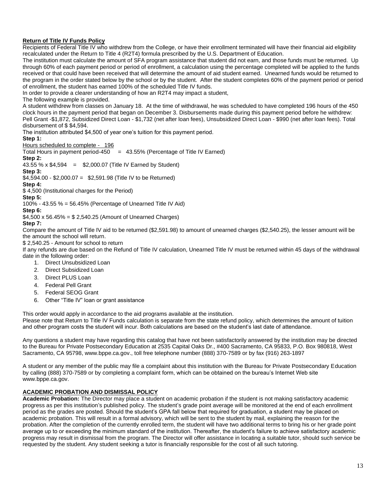## **Return of Title IV Funds Policy**

Recipients of Federal Title IV who withdrew from the College, or have their enrollment terminated will have their financial aid eligibility recalculated under the Return to Title 4 (R2T4) formula prescribed by the U.S. Department of Education.

The institution must calculate the amount of SFA program assistance that student did not earn, and those funds must be returned. Up through 60% of each payment period or period of enrollment, a calculation using the percentage completed will be applied to the funds received or that could have been received that will determine the amount of aid student earned. Unearned funds would be returned to the program in the order stated below by the school or by the student. After the student completes 60% of the payment period or period of enrollment, the student has earned 100% of the scheduled Title IV funds.

In order to provide a clearer understanding of how an R2T4 may impact a student,

## The following example is provided.

A student withdrew from classes on January 18. At the time of withdrawal, he was scheduled to have completed 196 hours of the 450 clock hours in the payment period that began on December 3. Disbursements made during this payment period before he withdrew: Pell Grant -\$1,872, Subsidized Direct Loan - \$1,732 (net after loan fees), Unsubsidized Direct Loan - \$990 (net after loan fees). Total disbursement of \$ \$4,594.

The institution attributed \$4,500 of year one's tuition for this payment period.

## **Step 1:**

#### Hours scheduled to complete - 196

Total Hours in payment period-450  $=$  43.55% (Percentage of Title IV Earned)

#### **Step 2:**

43.55 % x  $$4,594 = $2,000.07$  (Title IV Earned by Student)

## **Step 3:**

\$4,594.00 - \$2,000.07 = \$2,591.98 (Title IV to be Returned)

**Step 4:** \$ 4,500 (Institutional charges for the Period)

## **Step 5:**

100% - 43.55 % = 56.45% (Percentage of Unearned Title IV Aid)

## **Step 6:**

 $$4,500 \times 56.45\% = $2,540.25$  (Amount of Unearned Charges)

## **Step 7:**

Compare the amount of Title IV aid to be returned (\$2,591.98) to amount of unearned charges (\$2,540.25), the lesser amount will be the amount the school will return.

\$ 2,540.25 - Amount for school to return

If any refunds are due based on the Refund of Title IV calculation, Unearned Title IV must be returned within 45 days of the withdrawal date in the following order:

- 1. Direct Unsubsidized Loan
- 2. Direct Subsidized Loan
- 3. Direct PLUS Loan
- 4. Federal Pell Grant
- 5. Federal SEOG Grant
- 6. Other "Title IV" loan or grant assistance

This order would apply in accordance to the aid programs available at the institution.

Please note that Return to Title IV Funds calculation is separate from the state refund policy, which determines the amount of tuition and other program costs the student will incur. Both calculations are based on the student's last date of attendance.

Any questions a student may have regarding this catalog that have not been satisfactorily answered by the institution may be directed to the Bureau for Private Postsecondary Education at 2535 Capital Oaks Dr., #400 Sacramento, CA 95833, P.O. Box 980818, West Sacramento, CA 95798, www.bppe.ca.gov., toll free telephone number (888) 370-7589 or by fax (916) 263-1897

A student or any member of the public may file a complaint about this institution with the Bureau for Private Postsecondary Education by calling (888) 370-7589 or by completing a complaint form, which can be obtained on the bureau's Internet Web site [www.bppe.ca.gov.](http://www.bppe.ca.gov/)

## **ACADEMIC PROBATION AND DISMISSAL POLICY**

**Academic Probation:** The Director may place a student on academic probation if the student is not making satisfactory academic progress as per this institution's published policy. The student's grade point average will be monitored at the end of each enrollment period as the grades are posted. Should the student's GPA fall below that required for graduation, a student may be placed on academic probation. This will result in a formal advisory, which will be sent to the student by mail, explaining the reason for the probation. After the completion of the currently enrolled term, the student will have two additional terms to bring his or her grade point average up to or exceeding the minimum standard of the institution. Thereafter, the student's failure to achieve satisfactory academic progress may result in dismissal from the program. The Director will offer assistance in locating a suitable tutor, should such service be requested by the student. Any student seeking a tutor is financially responsible for the cost of all such tutoring.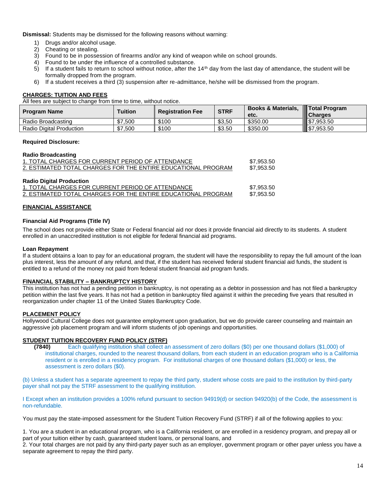**Dismissal:** Students may be dismissed for the following reasons without warning:

- 1) Drugs and/or alcohol usage.
- 2) Cheating or stealing.
- 3) Found to be in possession of firearms and/or any kind of weapon while on school grounds.
- 4) Found to be under the influence of a controlled substance.<br>5) If a student fails to return to school without notice, after the
- If a student fails to return to school without notice, after the  $14<sup>th</sup>$  day from the last day of attendance, the student will be formally dropped from the program.
- 6) If a student receives a third (3) suspension after re-admittance, he/she will be dismissed from the program.

## **CHARGES: TUITION AND FEES**

All fees are subject to change from time to time, without notice.

| <b>Program Name</b>      | <b>Tuition</b> | <b>Registration Fee</b> | <b>STRF</b> | <b>Books &amp; Materials,</b><br>etc. | <b>Total Program</b><br><b>III Charges</b> |
|--------------------------|----------------|-------------------------|-------------|---------------------------------------|--------------------------------------------|
| Radio Broadcasting       | \$7,500        | \$100                   | \$3,50      | \$350.00                              | 157,953.50                                 |
| Radio Digital Production | \$7,500        | \$100                   | \$3.50      | \$350.00                              | $\frac{1}{2}$ \$7,953.50                   |

## **Required Disclosure:**

## **Radio Broadcasting**

| \$7.953.50 |
|------------|
| \$7,953.50 |
|            |
|            |
| \$7.953.50 |
| \$7.953.50 |
|            |

## **FINANCIAL ASSISTANCE**

## **Financial Aid Programs (Title IV)**

The school does not provide either State or Federal financial aid nor does it provide financial aid directly to its students. A student enrolled in an unaccredited institution is not eligible for federal financial aid programs.

## **Loan Repayment**

If a student obtains a loan to pay for an educational program, the student will have the responsibility to repay the full amount of the loan plus interest, less the amount of any refund, and that, if the student has received federal student financial aid funds, the student is entitled to a refund of the money not paid from federal student financial aid program funds.

## **FINANCIAL STABILITY – BANKRUPTCY HISTORY**

This institution has not had a pending petition in bankruptcy, is not operating as a debtor in possession and has not filed a bankruptcy petition within the last five years. It has not had a petition in bankruptcy filed against it within the preceding five years that resulted in reorganization under chapter 11 of the United States Bankruptcy Code.

## **PLACEMENT POLICY**

Hollywood Cultural College does not guarantee employment upon graduation, but we do provide career counseling and maintain an aggressive job placement program and will inform students of job openings and opportunities.

## **STUDENT TUITION RECOVERY FUND POLICY (STRF)**

**(7840)** Each qualifying institution shall collect an assessment of zero dollars (\$0) per one thousand dollars (\$1,000) of institutional charges, rounded to the nearest thousand dollars, from each student in an education program who is a California resident or is enrolled in a residency program. For institutional charges of one thousand dollars (\$1,000) or less, the assessment is zero dollars (\$0).

(b) Unless a student has a separate agreement to repay the third party, student whose costs are paid to the institution by third-party payer shall not pay the STRF assessment to the qualifying institution.

I Except when an institution provides a 100% refund pursuant to section 94919(d) or section 94920(b) of the Code, the assessment is non-refundable.

You must pay the state-imposed assessment for the Student Tuition Recovery Fund (STRF) if all of the following applies to you:

1. You are a student in an educational program, who is a California resident, or are enrolled in a residency program, and prepay all or part of your tuition either by cash, guaranteed student loans, or personal loans, and

2. Your total charges are not paid by any third-party payer such as an employer, government program or other payer unless you have a separate agreement to repay the third party.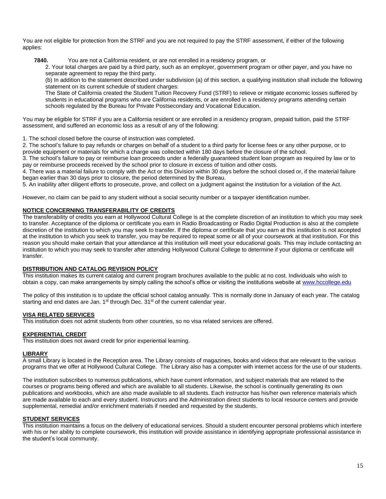You are not eligible for protection from the STRF and you are not required to pay the STRF assessment, if either of the following applies:

**7840.** You are not a California resident, or are not enrolled in a residency program, or

2. Your total charges are paid by a third party, such as an employer, government program or other payer, and you have no separate agreement to repay the third party.

(b) In addition to the statement described under subdivision (a) of this section, a qualifying institution shall include the following statement on its current schedule of student charges:

The State of California created the Student Tuition Recovery Fund (STRF) to relieve or mitigate economic losses suffered by students in educational programs who are California residents, or are enrolled in a residency programs attending certain schools regulated by the Bureau for Private Postsecondary and Vocational Education.

You may be eligible for STRF if you are a California resident or are enrolled in a residency program, prepaid tuition, paid the STRF assessment, and suffered an economic loss as a result of any of the following:

1. The school closed before the course of instruction was completed.

2. The school's failure to pay refunds or charges on behalf of a student to a third party for license fees or any other purpose, or to provide equipment or materials for which a charge was collected within 180 days before the closure of the school.

3. The school's failure to pay or reimburse loan proceeds under a federally guaranteed student loan program as required by law or to pay or reimburse proceeds received by the school prior to closure in excess of tuition and other costs.

4. There was a material failure to comply with the Act or this Division within 30 days before the school closed or, if the material failure began earlier than 30 days prior to closure, the period determined by the Bureau.

5. An inability after diligent efforts to prosecute, prove, and collect on a judgment against the institution for a violation of the Act.

However, no claim can be paid to any student without a social security number or a taxpayer identification number.

## **NOTICE CONCERNING TRANSFERABILITY OF CREDITS**

The transferability of credits you earn at Hollywood Cultural College is at the complete discretion of an institution to which you may seek to transfer. Acceptance of the diploma or certificate you earn in Radio Broadcasting or Radio Digital Production is also at the complete discretion of the institution to which you may seek to transfer. If the diploma or certificate that you earn at this institution is not accepted at the institution to which you seek to transfer, you may be required to repeat some or all of your coursework at that institution. For this reason you should make certain that your attendance at this institution will meet your educational goals. This may include contacting an institution to which you may seek to transfer after attending Hollywood Cultural College to determine if your diploma or certificate will transfer.

## **DISTRIBUTION AND CATALOG REVISION POLICY**

This institution makes its current catalog and current program brochures available to the public at no cost. Individuals who wish to obtain a copy, can make arrangements by simply calling the school's office or visiting the institutions website a[t www.hccollege.edu](http://www.hccollege.com/)

The policy of this institution is to update the official school catalog annually. This is normally done in January of each year. The catalog starting and end dates are Jan. 1<sup>st</sup> through Dec. 31<sup>st</sup> of the current calendar year.

## **VISA RELATED SERVICES**

This institution does not admit students from other countries, so no visa related services are offered.

## **EXPERIENTIAL CREDIT**

This institution does not award credit for prior experiential learning.

## **LIBRARY**

A small Library is located in the Reception area. The Library consists of magazines, books and videos that are relevant to the various programs that we offer at Hollywood Cultural College. The Library also has a computer with internet access for the use of our students.

The institution subscribes to numerous publications, which have current information, and subject materials that are related to the courses or programs being offered and which are available to all students. Likewise, the school is continually generating its own publications and workbooks, which are also made available to all students. Each instructor has his/her own reference materials which are made available to each and every student. Instructors and the Administration direct students to local resource centers and provide supplemental, remedial and/or enrichment materials if needed and requested by the students.

#### **STUDENT SERVICES**

This institution maintains a focus on the delivery of educational services. Should a student encounter personal problems which interfere with his or her ability to complete coursework, this institution will provide assistance in identifying appropriate professional assistance in the student's local community.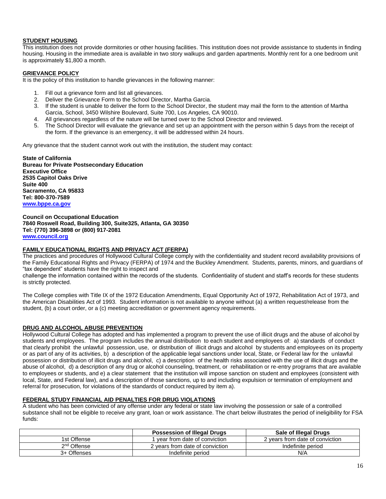## **STUDENT HOUSING**

This institution does not provide dormitories or other housing facilities. This institution does not provide assistance to students in finding housing. Housing in the immediate area is available in two story walkups and garden apartments. Monthly rent for a one bedroom unit is approximately \$1,800 a month.

## **GRIEVANCE POLICY**

It is the policy of this institution to handle grievances in the following manner:

- 1. Fill out a grievance form and list all grievances.
- 2. Deliver the Grievance Form to the School Director, Martha Garcia.
- 3. If the student is unable to deliver the form to the School Director, the student may mail the form to the attention of Martha Garcia, School, 3450 Wilshire Boulevard, Suite 700, Los Angeles, CA 90010.
- 4. All grievances regardless of the nature will be turned over to the School Director and reviewed.
- 5. The School Director will evaluate the grievance and set up an appointment with the person within 5 days from the receipt of the form. If the grievance is an emergency, it will be addressed within 24 hours.

Any grievance that the student cannot work out with the institution, the student may contact:

**State of California Bureau for Private Postsecondary Education Executive Office 2535 Capitol Oaks Drive Suite 400 Sacramento, CA 95833 Tel: 800-370-7589 [www.bppe.ca.gov](http://www.bppe.ca.gov/)**

**Council on Occupational Education 7840 Roswell Road, Building 300, Suite325, Atlanta, GA 30350 Tel: (770) 396-3898 or (800) 917-2081 [www.council.org](http://www.council.org/)**

## **FAMILY EDUCATIONAL RIGHTS AND PRIVACY ACT (FERPA)**

The practices and procedures of Hollywood Cultural College comply with the confidentiality and student record availability provisions of the Family Educational Rights and Privacy (FERPA) of 1974 and the Buckley Amendment. Students, parents, minors, and guardians of "tax dependent" students have the right to inspect and

challenge the information contained within the records of the students. Confidentiality of student and staff's records for these students is strictly protected.

The College complies with Title IX of the 1972 Education Amendments, Equal Opportunity Act of 1972, Rehabilitation Act of 1973, and the American Disabilities Act of 1993. Student information is not available to anyone without (a) a written request/release from the student, (b) a court order, or a (c) meeting accreditation or government agency requirements.

## **DRUG AND ALCOHOL ABUSE PREVENTION**

Hollywood Cultural College has adopted and has implemented a program to prevent the use of illicit drugs and the abuse of alcohol by students and employees. The program includes the annual distribution to each student and employees of: a) standards of conduct that clearly prohibit the unlawful possession, use, or distribution of illicit drugs and alcohol by students and employees on its property or as part of any of its activities, b) a description of the applicable legal sanctions under local, State, or Federal law for the unlawful possession or distribution of illicit drugs and alcohol, c) a description of the health risks associated with the use of illicit drugs and the abuse of alcohol, d) a description of any drug or alcohol counseling, treatment, or rehabilitation or re-entry programs that are available to employees or students, and e) a clear statement that the institution will impose sanction on student and employees (consistent with local, State, and Federal law), and a description of those sanctions, up to and including expulsion or termination of employment and referral for prosecution, for violations of the standards of conduct required by item a).

#### **FEDERAL STUDY FINANCIAL AID PENALTIES FOR DRUG VIOLATIONS**

A student who has been convicted of any offense under any federal or state law involving the possession or sale of a controlled substance shall not be eligible to receive any grant, loan or work assistance. The chart below illustrates the period of ineligibility for FSA funds:

|                         | <b>Possession of Illegal Drugs</b> | Sale of Illegal Drugs           |
|-------------------------|------------------------------------|---------------------------------|
| 1st Offense             | I vear from date of conviction.    | 2 years from date of conviction |
| 2 <sup>nd</sup> Offense | 2 vears from date of conviction    | Indefinite period               |
| 3+ Offenses             | Indefinite period                  | N/A                             |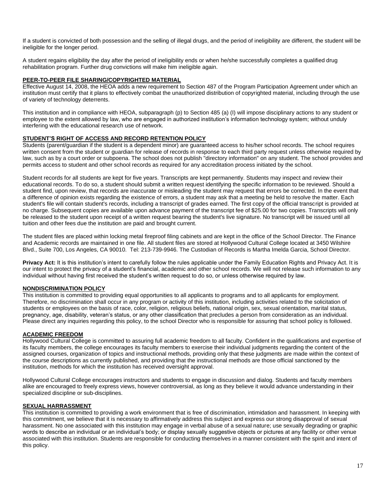If a student is convicted of both possession and the selling of illegal drugs, and the period of ineligibility are different, the student will be ineligible for the longer period.

A student regains eligibility the day after the period of ineligibility ends or when he/she successfully completes a qualified drug rehabilitation program. Further drug convictions will make him ineligible again.

## **PEER-TO-PEER FILE SHARING/COPYRIGHTED MATERIAL**

Effective August 14, 2008, the HEOA adds a new requirement to Section 487 of the Program Participation Agreement under which an institution must certify that it plans to effectively combat the unauthorized distribution of copyrighted material, including through the use of variety of technology deterrents.

This institution and in compliance with HEOA, subparagraph (p) to Section 485 (a) (I) will impose disciplinary actions to any student or employee to the extent allowed by law, who are engaged in authorized institution's information technology system; without unduly interfering with the educational research use of network.

## **STUDENT'S RIGHT OF ACCESS AND RECORD RETENTION POLICY**

Students (parent/guardian if the student is a dependent minor) are guaranteed access to his/her school records. The school requires written consent from the student or guardian for release of records in response to each third party request unless otherwise required by law, such as by a court order or subpoena. The school does not publish "directory information" on any student. The school provides and permits access to student and other school records as required for any accreditation process initiated by the school.

Student records for all students are kept for five years. Transcripts are kept permanently. Students may inspect and review their educational records. To do so, a student should submit a written request identifying the specific information to be reviewed. Should a student find, upon review, that records are inaccurate or misleading the student may request that errors be corrected. In the event that a difference of opinion exists regarding the existence of errors, a student may ask that a meeting be held to resolve the matter. Each student's file will contain student's records, including a transcript of grades earned. The first copy of the official transcript is provided at no charge. Subsequent copies are available upon advance payment of the transcript fee of \$25.00 for two copies. Transcripts will only be released to the student upon receipt of a written request bearing the student's live signature. No transcript will be issued until all tuition and other fees due the institution are paid and brought current.

The student files are placed within locking metal fireproof filing cabinets and are kept in the office of the School Director. The Finance and Academic records are maintained in one file. All student files are stored at Hollywood Cultural College located at 3450 Wilshire Blvd., Suite 700, Los Angeles, CA 90010. Tel: 213-739-9946. The Custodian of Records is Martha Imelda Garcia, School Director.

**Privacy Act:** It is this institution's intent to carefully follow the rules applicable under the Family Education Rights and Privacy Act. It is our intent to protect the privacy of a student's financial, academic and other school records. We will not release such information to any individual without having first received the student's written request to do so, or unless otherwise required by law.

## **NONDISCRIMINATION POLICY**

This institution is committed to providing equal opportunities to all applicants to programs and to all applicants for employment. Therefore, no discrimination shall occur in any program or activity of this institution, including activities related to the solicitation of students or employees on the basis of race, color, religion, religious beliefs, national origin, sex, sexual orientation, marital status, pregnancy, age, disability, veteran's status, or any other classification that precludes a person from consideration as an individual. Please direct any inquiries regarding this policy, to the school Director who is responsible for assuring that school policy is followed.

## **ACADEMIC FREEDOM**

Hollywood Cultural College is committed to assuring full academic freedom to all faculty. Confident in the qualifications and expertise of its faculty members, the college encourages its faculty members to exercise their individual judgments regarding the content of the assigned courses, organization of topics and instructional methods, providing only that these judgments are made within the context of the course descriptions as currently published, and providing that the instructional methods are those official sanctioned by the institution, methods for which the institution has received oversight approval.

Hollywood Cultural College encourages instructors and students to engage in discussion and dialog. Students and faculty members alike are encouraged to freely express views, however controversial, as long as they believe it would advance understanding in their specialized discipline or sub-disciplines.

## **SEXUAL HARRASSMENT**

This institution is committed to providing a work environment that is free of discrimination, intimidation and harassment. In keeping with this commitment, we believe that it is necessary to affirmatively address this subject and express our strong disapproval of sexual harassment. No one associated with this institution may engage in verbal abuse of a sexual nature; use sexually degrading or graphic words to describe an individual or an individual's body; or display sexually suggestive objects or pictures at any facility or other venue associated with this institution. Students are responsible for conducting themselves in a manner consistent with the spirit and intent of this policy.